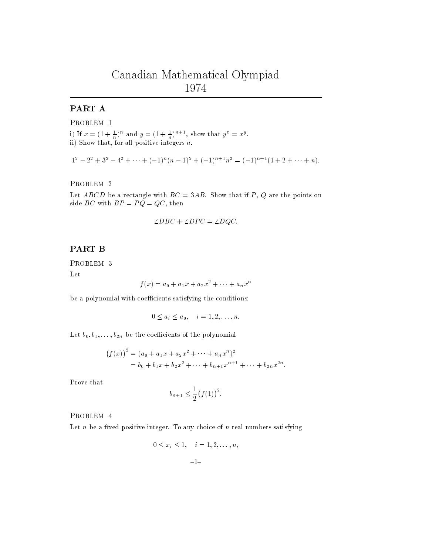# Canadian Mathematical Olympiad <sup>1974</sup>

## PART A

PROBLEM 1

i) If  $x = (1 + \frac{1}{n})^n$  and  $y = (1 + \frac{1}{n})^n$ , show that  $y^2 = x^3$ . ii) Show that, for all positive integers n,

$$
12 - 22 + 32 - 42 + \dots + (-1)n(n - 1)2 + (-1)n+1n2 = (-1)n+1(1 + 2 + \dots + n).
$$

PROBLEM 2

Let ABCD be a rectangle with  $BC = 3AB$ . Show that if P, Q are the points on side *BC* with  $BP = PQ = QC$ , then

$$
\angle DBC + \angle DPC = \angle DQC.
$$

### PART B

PROBLEM 3

Let

$$
f(x) = a_0 + a_1 x + a_2 x^2 + \dots + a_n x^n
$$

be a polynomial with coefficients satisfying the conditions:

$$
0 \le a_i \le a_0, \quad i = 1, 2, \dots, n.
$$

Let  $b_0, b_1, \ldots, b_{2n}$  be the coefficients of the polynomial

$$
(f(x))^{2} = (a_{0} + a_{1}x + a_{2}x^{2} + \dots + a_{n}x^{n})^{2}
$$
  
=  $b_{0} + b_{1}x + b_{2}x^{2} + \dots + b_{n+1}x^{n+1} + \dots + b_{2n}x^{2n}$ .

Prove that

$$
b_{n+1} \le \frac{1}{2} (f(1))^2.
$$

PROBLEM 4

Let  $n$  be a fixed positive integer. To any choice of  $n$  real numbers satisfying

$$
0 \le x_i \le 1, \quad i = 1, 2, ..., n,
$$
  
 $-1-$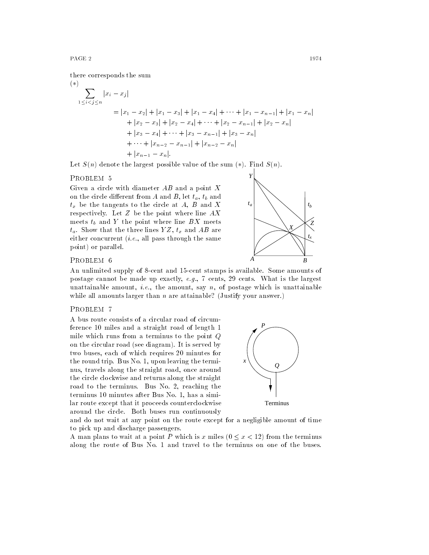$$
(*)\sum_{1 \leq i < j \leq n} |x_i - x_j|
$$
\n
$$
= |x_1 - x_2| + |x_1 - x_3| + |x_1 - x_4| + \dots + |x_1 - x_{n-1}| + |x_1 - x_n|
$$
\n
$$
+ |x_2 - x_3| + |x_2 - x_4| + \dots + |x_2 - x_{n-1}| + |x_2 - x_n|
$$
\n
$$
+ |x_3 - x_4| + \dots + |x_3 - x_{n-1}| + |x_3 - x_n|
$$
\n
$$
+ \dots + |x_{n-2} - x_{n-1}| + |x_{n-2} - x_n|
$$
\n
$$
+ |x_{n-1} - x_n|.
$$

Let  $S(n)$  denote the largest possible value of the sum  $(*)$ . Find  $S(n)$ .

#### PROBLEM 5

Given a circle with diameter  $AB$  and a point  $X$ on the circle different from A and B, let  $t_a$ ,  $t_b$  and  $t<sub>x</sub>$  be the tangents to the circle at A, B and X respectively. Let  $Z$  be the point where line  $AX$ meets  $t_b$  and Y the point where line  $BX$  meets  $t_a$ . Show that the three lines  $YZ, t_x$  and  $AB$  are either concurrent  $(i.e.,$  all pass through the same point) or parallel.



#### PROBLEM 6

An unlimited supply of 8-cent and 15-cent stamps is available. Some amounts of postage cannot be made up exactly,  $e.g., 7 \text{ cents}, 29 \text{ cents}.$  What is the largest unattainable amount, *i.e.*, the amount, say  $n$ , of postage which is unattainable while all amounts larger than  $n$  are attainable? (Justify your answer.)

#### PROBLEM 7

A bus route consists of a circular road of circumference 10 miles and a straight road of length 1 mile which runs from a terminus to the point Q on the circular road (see diagram). It is served by two buses, each of which requires 20 minutes for the round trip. Bus No. 1, upon leaving the termi nus, travels along the straight road, once around the circle clockwise and returns along the straight road to the terminus. Bus No. 2, reaching the terminus 10 minutes after Bus No. 1, has a similar route except that it proceeds counterclockwise around the circle. Both buses run continuously



and do not wait at any point on the route except for a negligible amount of time to pick up and discharge passengers.

A man plans to wait at a point P which is x miles  $(0 \leq x < 12)$  from the terminus along the route of Bus No. 1 and travel to the terminus on one of the buses.